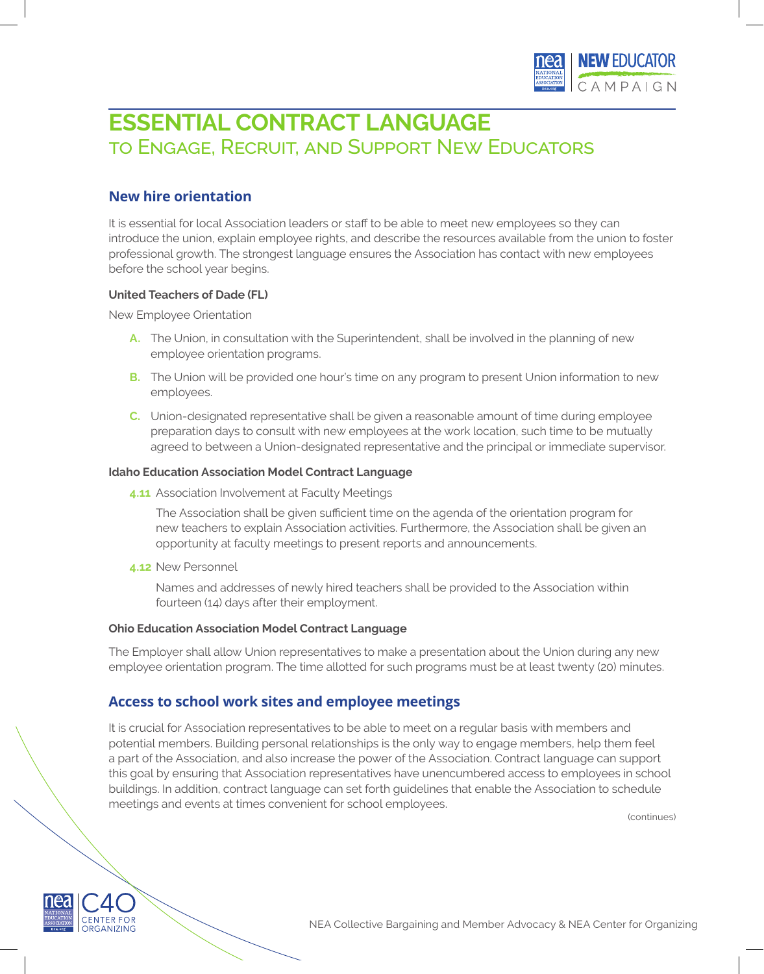

# **ESSENTIAL CONTRACT LANGUAGE**  to Engage, Recruit, and Support New Educators

## **New hire orientation**

It is essential for local Association leaders or staff to be able to meet new employees so they can introduce the union, explain employee rights, and describe the resources available from the union to foster professional growth. The strongest language ensures the Association has contact with new employees before the school year begins.

### **United Teachers of Dade (FL)**

New Employee Orientation

- **A.** The Union, in consultation with the Superintendent, shall be involved in the planning of new employee orientation programs.
- **B.** The Union will be provided one hour's time on any program to present Union information to new employees.
- **C.** Union-designated representative shall be given a reasonable amount of time during employee preparation days to consult with new employees at the work location, such time to be mutually agreed to between a Union-designated representative and the principal or immediate supervisor.

### **Idaho Education Association Model Contract Language**

**4.11** Association Involvement at Faculty Meetings

The Association shall be given sufficient time on the agenda of the orientation program for new teachers to explain Association activities. Furthermore, the Association shall be given an opportunity at faculty meetings to present reports and announcements.

**4.12** New Personnel

Names and addresses of newly hired teachers shall be provided to the Association within fourteen (14) days after their employment.

### **Ohio Education Association Model Contract Language**

The Employer shall allow Union representatives to make a presentation about the Union during any new employee orientation program. The time allotted for such programs must be at least twenty (20) minutes.

### **Access to school work sites and employee meetings**

It is crucial for Association representatives to be able to meet on a regular basis with members and potential members. Building personal relationships is the only way to engage members, help them feel a part of the Association, and also increase the power of the Association. Contract language can support this goal by ensuring that Association representatives have unencumbered access to employees in school buildings. In addition, contract language can set forth guidelines that enable the Association to schedule meetings and events at times convenient for school employees.

(continues)



NEA Collective Bargaining and Member Advocacy & NEA Center for Organizing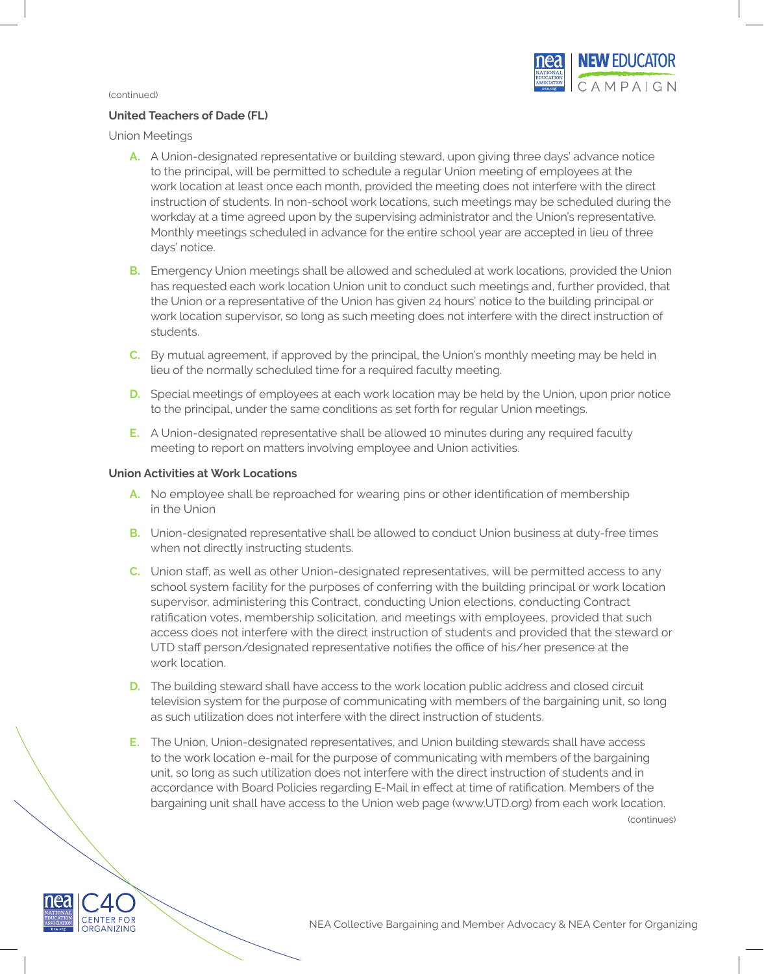

### **United Teachers of Dade (FL)**

Union Meetings

- **A.** A Union-designated representative or building steward, upon giving three days' advance notice to the principal, will be permitted to schedule a regular Union meeting of employees at the work location at least once each month, provided the meeting does not interfere with the direct instruction of students. In non-school work locations, such meetings may be scheduled during the workday at a time agreed upon by the supervising administrator and the Union's representative. Monthly meetings scheduled in advance for the entire school year are accepted in lieu of three days' notice.
- **B.** Emergency Union meetings shall be allowed and scheduled at work locations, provided the Union has requested each work location Union unit to conduct such meetings and, further provided, that the Union or a representative of the Union has given 24 hours' notice to the building principal or work location supervisor, so long as such meeting does not interfere with the direct instruction of students.
- **C.** By mutual agreement, if approved by the principal, the Union's monthly meeting may be held in lieu of the normally scheduled time for a required faculty meeting.
- **D.** Special meetings of employees at each work location may be held by the Union, upon prior notice to the principal, under the same conditions as set forth for regular Union meetings.
- **E.** A Union-designated representative shall be allowed 10 minutes during any required faculty meeting to report on matters involving employee and Union activities.

### **Union Activities at Work Locations**

- **A.** No employee shall be reproached for wearing pins or other identification of membership in the Union
- **B.** Union-designated representative shall be allowed to conduct Union business at duty-free times when not directly instructing students.
- **C.** Union staff, as well as other Union-designated representatives, will be permitted access to any school system facility for the purposes of conferring with the building principal or work location supervisor, administering this Contract, conducting Union elections, conducting Contract ratification votes, membership solicitation, and meetings with employees, provided that such access does not interfere with the direct instruction of students and provided that the steward or UTD staff person/designated representative notifies the office of his/her presence at the work location.
- **D.** The building steward shall have access to the work location public address and closed circuit television system for the purpose of communicating with members of the bargaining unit, so long as such utilization does not interfere with the direct instruction of students.
- **E.** The Union, Union-designated representatives, and Union building stewards shall have access to the work location e-mail for the purpose of communicating with members of the bargaining unit, so long as such utilization does not interfere with the direct instruction of students and in accordance with Board Policies regarding E-Mail in effect at time of ratification. Members of the bargaining unit shall have access to the Union web page (www.UTD.org) from each work location.

(continues)

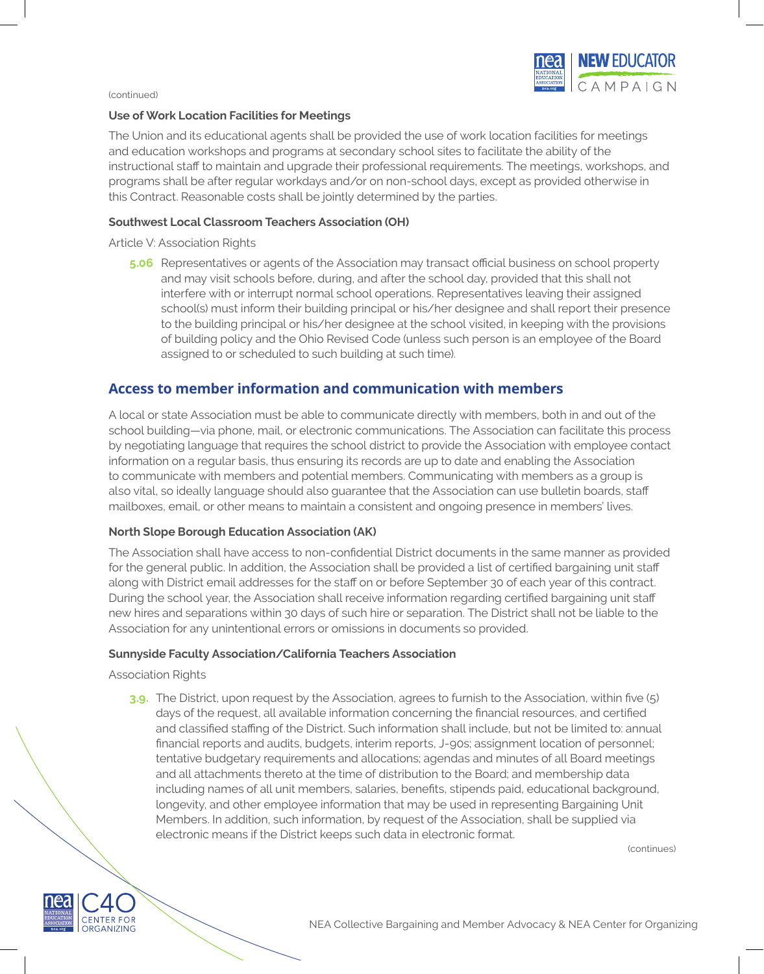

### **Use of Work Location Facilities for Meetings**

The Union and its educational agents shall be provided the use of work location facilities for meetings and education workshops and programs at secondary school sites to facilitate the ability of the instructional staff to maintain and upgrade their professional requirements. The meetings, workshops, and programs shall be after regular workdays and/or on non-school days, except as provided otherwise in this Contract. Reasonable costs shall be jointly determined by the parties.

### **Southwest Local Classroom Teachers Association (OH)**

### Article V: Association Rights

**5.06** Representatives or agents of the Association may transact official business on school property and may visit schools before, during, and after the school day, provided that this shall not interfere with or interrupt normal school operations. Representatives leaving their assigned school(s) must inform their building principal or his/her designee and shall report their presence to the building principal or his/her designee at the school visited, in keeping with the provisions of building policy and the Ohio Revised Code (unless such person is an employee of the Board assigned to or scheduled to such building at such time).

### **Access to member information and communication with members**

A local or state Association must be able to communicate directly with members, both in and out of the school building—via phone, mail, or electronic communications. The Association can facilitate this process by negotiating language that requires the school district to provide the Association with employee contact information on a regular basis, thus ensuring its records are up to date and enabling the Association to communicate with members and potential members. Communicating with members as a group is also vital, so ideally language should also guarantee that the Association can use bulletin boards, staff mailboxes, email, or other means to maintain a consistent and ongoing presence in members' lives.

### **North Slope Borough Education Association (AK)**

The Association shall have access to non-confidential District documents in the same manner as provided for the general public. In addition, the Association shall be provided a list of certified bargaining unit staff along with District email addresses for the staff on or before September 30 of each year of this contract. During the school year, the Association shall receive information regarding certified bargaining unit staff new hires and separations within 30 days of such hire or separation. The District shall not be liable to the Association for any unintentional errors or omissions in documents so provided.

### **Sunnyside Faculty Association/California Teachers Association**

Association Rights

**3.9.** The District, upon request by the Association, agrees to furnish to the Association, within five (5) days of the request, all available information concerning the financial resources, and certified and classified staffing of the District. Such information shall include, but not be limited to: annual financial reports and audits, budgets, interim reports, J-90s; assignment location of personnel; tentative budgetary requirements and allocations; agendas and minutes of all Board meetings and all attachments thereto at the time of distribution to the Board; and membership data including names of all unit members, salaries, benefits, stipends paid, educational background, longevity, and other employee information that may be used in representing Bargaining Unit Members. In addition, such information, by request of the Association, shall be supplied via electronic means if the District keeps such data in electronic format.

(continues)

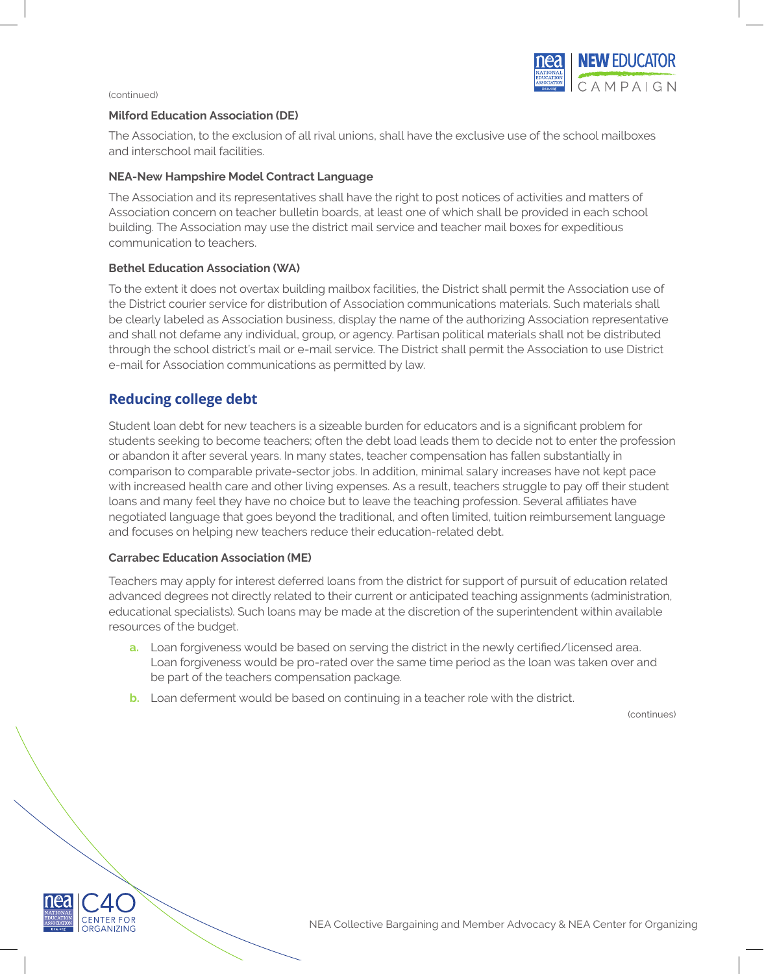

### **Milford Education Association (DE)**

The Association, to the exclusion of all rival unions, shall have the exclusive use of the school mailboxes and interschool mail facilities.

### **NEA-New Hampshire Model Contract Language**

The Association and its representatives shall have the right to post notices of activities and matters of Association concern on teacher bulletin boards, at least one of which shall be provided in each school building. The Association may use the district mail service and teacher mail boxes for expeditious communication to teachers.

#### **Bethel Education Association (WA)**

To the extent it does not overtax building mailbox facilities, the District shall permit the Association use of the District courier service for distribution of Association communications materials. Such materials shall be clearly labeled as Association business, display the name of the authorizing Association representative and shall not defame any individual, group, or agency. Partisan political materials shall not be distributed through the school district's mail or e-mail service. The District shall permit the Association to use District e-mail for Association communications as permitted by law.

### **Reducing college debt**

Student loan debt for new teachers is a sizeable burden for educators and is a significant problem for students seeking to become teachers; often the debt load leads them to decide not to enter the profession or abandon it after several years. In many states, teacher compensation has fallen substantially in comparison to comparable private-sector jobs. In addition, minimal salary increases have not kept pace with increased health care and other living expenses. As a result, teachers struggle to pay off their student loans and many feel they have no choice but to leave the teaching profession. Several affiliates have negotiated language that goes beyond the traditional, and often limited, tuition reimbursement language and focuses on helping new teachers reduce their education-related debt.

### **Carrabec Education Association (ME)**

Teachers may apply for interest deferred loans from the district for support of pursuit of education related advanced degrees not directly related to their current or anticipated teaching assignments (administration, educational specialists). Such loans may be made at the discretion of the superintendent within available resources of the budget.

- **a.** Loan forgiveness would be based on serving the district in the newly certified/licensed area. Loan forgiveness would be pro-rated over the same time period as the loan was taken over and be part of the teachers compensation package.
- **b.** Loan deferment would be based on continuing in a teacher role with the district.

(continues)



NEA Collective Bargaining and Member Advocacy & NEA Center for Organizing